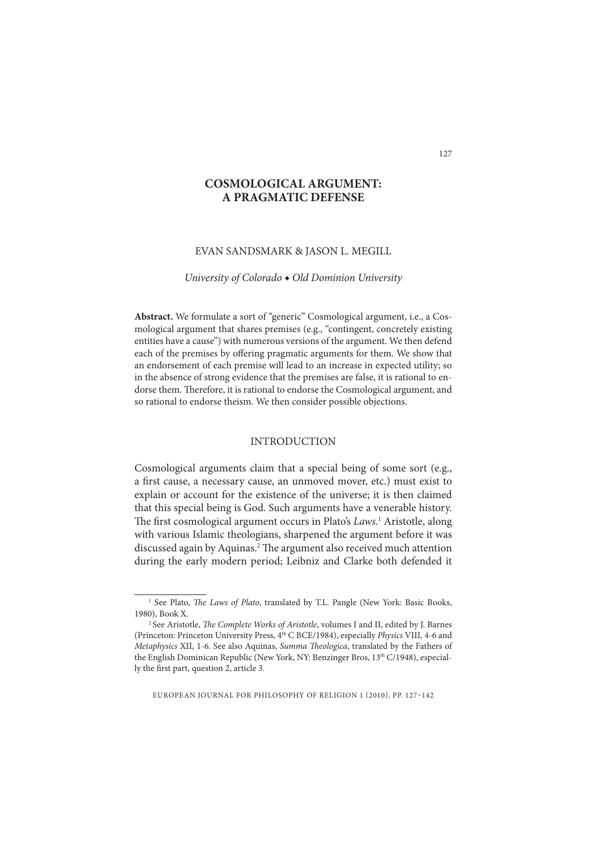# **COSMOLOGICAL ARGUMENT: A PRAGMATIC DEFENSE**

#### EVAN SANDSMARK & JASON L. MEGILL

*University of Colorado ◆ Old Dominion University*

**Abstract.** We formulate a sort of "generic" Cosmological argument, i.e., a Cosmological argument that shares premises (e.g., "contingent, concretely existing entities have a cause") with numerous versions of the argument. We then defend each of the premises by offering pragmatic arguments for them. We show that an endorsement of each premise will lead to an increase in expected utility; so in the absence of strong evidence that the premises are false, it is rational to endorse them. Therefore, it is rational to endorse the Cosmological argument, and so rational to endorse theism. We then consider possible objections.

#### INTRODUCTION

Cosmological arguments claim that a special being of some sort (e.g., a first cause, a necessary cause, an unmoved mover, etc.) must exist to explain or account for the existence of the universe; it is then claimed that this special being is God. Such arguments have a venerable history. The first cosmological argument occurs in Plato's Laws.<sup>1</sup> Aristotle, along with various Islamic theologians, sharpened the argument before it was discussed again by Aquinas.<sup>2</sup> The argument also received much attention during the early modern period; Leibniz and Clarke both defended it

<sup>&</sup>lt;sup>1</sup> See Plato, *The Laws of Plato*, translated by T.L. Pangle (New York: Basic Books, 1980), Book X.

<sup>&</sup>lt;sup>2</sup> See Aristotle, *The Complete Works of Aristotle*, volumes I and II, edited by J. Barnes (Princeton: Princeton University Press, 4th C BCE/1984), especially *Physics* VIII, 4-6 and *Metaphysics XII, 1-6. See also Aquinas, <i>Summa Theologica*, translated by the Fathers of the English Dominican Republic (New York, NY: Benzinger Bros, 13th C/1948), especially the first part, question 2, article 3.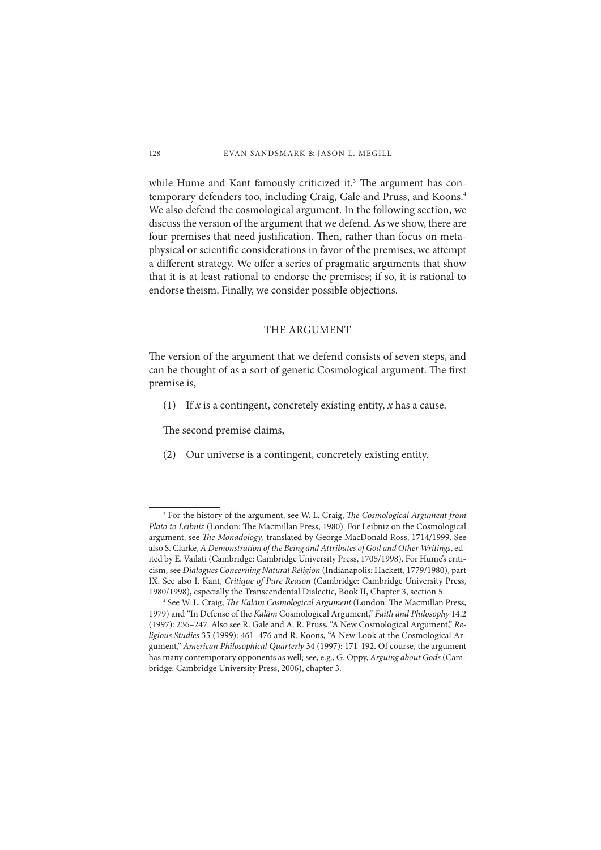while Hume and Kant famously criticized it.<sup>3</sup> The argument has contemporary defenders too, including Craig, Gale and Pruss, and Koons.<sup>4</sup> We also defend the cosmological argument. In the following section, we discuss the version of the argument that we defend. As we show, there are four premises that need justification. Then, rather than focus on metaphysical or scientific considerations in favor of the premises, we attempt a different strategy. We offer a series of pragmatic arguments that show that it is at least rational to endorse the premises; if so, it is rational to endorse theism. Finally, we consider possible objections.

## THE ARGUMENT

The version of the argument that we defend consists of seven steps, and can be thought of as a sort of generic Cosmological argument. The first premise is,

(1) If *x* is a contingent, concretely existing entity, *x* has a cause.

The second premise claims,

(2) Our universe is a contingent, concretely existing entity.

<sup>&</sup>lt;sup>3</sup> For the history of the argument, see W. L. Craig, *The Cosmological Argument from* Plato to Leibniz (London: The Macmillan Press, 1980). For Leibniz on the Cosmological argument, see *The Monadology*, translated by George MacDonald Ross, 1714/1999. See also S. Clarke, *A Demonstration of the Being and Attributes of God and Other Writings*, edited by E. Vailati (Cambridge: Cambridge University Press, 1705/1998). For Hume's criticism, see *Dialogues Concerning Natural Religion* (Indianapolis: Hackett, 1779/1980), part IX. See also I. Kant, *Critique of Pure Reason* (Cambridge: Cambridge University Press, 1980/1998), especially the Transcendental Dialectic, Book II, Chapter 3, section 5. 4

<sup>&</sup>lt;sup>4</sup> See W. L. Craig, *The Kalām Cosmological Argument* (London: The Macmillan Press, 1979) and "In Defense of the *Kalām* Cosmological Argument," *Faith and Philosophy* 14.2 (1997): 236–247. Also see R. Gale and A. R. Pruss, "A New Cosmological Argument," *Religious Studies* 35 (1999): 461–476 and R. Koons, "A New Look at the Cosmological Argument," *American Philosophical Quarterly* 34 (1997): 171-192. Of course, the argument has many contemporary opponents as well; see, e.g., G. Oppy, *Arguing about Gods* (Cambridge: Cambridge University Press, 2006), chapter 3.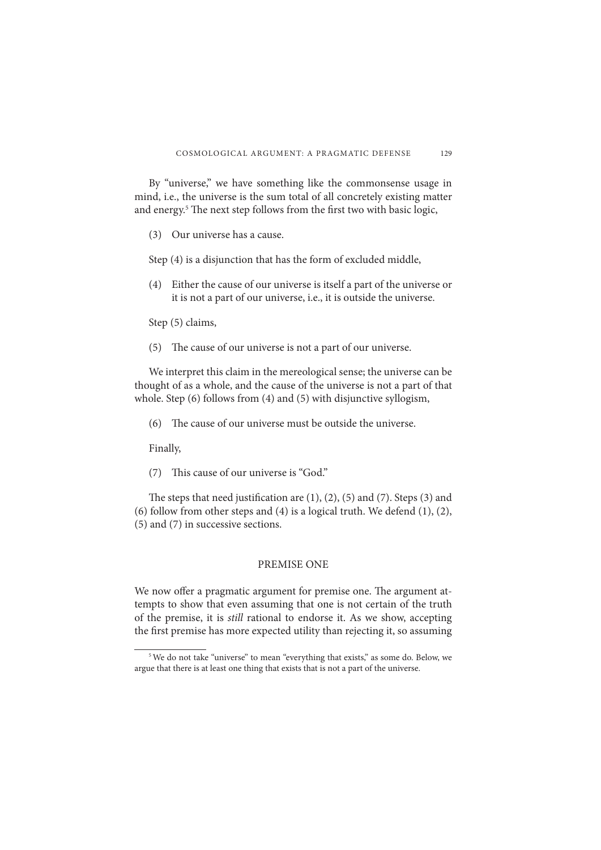By "universe," we have something like the commonsense usage in mind, i.e., the universe is the sum total of all concretely existing matter and energy.<sup>5</sup> The next step follows from the first two with basic logic,

(3) Our universe has a cause.

Step (4) is a disjunction that has the form of excluded middle,

 (4) Either the cause of our universe is itself a part of the universe or it is not a part of our universe, i.e., it is outside the universe.

Step (5) claims,

 $(5)$  The cause of our universe is not a part of our universe.

We interpret this claim in the mereological sense; the universe can be thought of as a whole, and the cause of the universe is not a part of that whole. Step (6) follows from (4) and (5) with disjunctive syllogism,

 $(6)$  The cause of our universe must be outside the universe.

Finally,

 $(7)$  This cause of our universe is "God."

The steps that need justification are  $(1)$ ,  $(2)$ ,  $(5)$  and  $(7)$ . Steps  $(3)$  and (6) follow from other steps and  $(4)$  is a logical truth. We defend  $(1)$ ,  $(2)$ , (5) and (7) in successive sections.

# PREMISE ONE

We now offer a pragmatic argument for premise one. The argument attempts to show that even assuming that one is not certain of the truth of the premise, it is *still* rational to endorse it. As we show, accepting the first premise has more expected utility than rejecting it, so assuming

<sup>&</sup>lt;sup>5</sup> We do not take "universe" to mean "everything that exists," as some do. Below, we argue that there is at least one thing that exists that is not a part of the universe.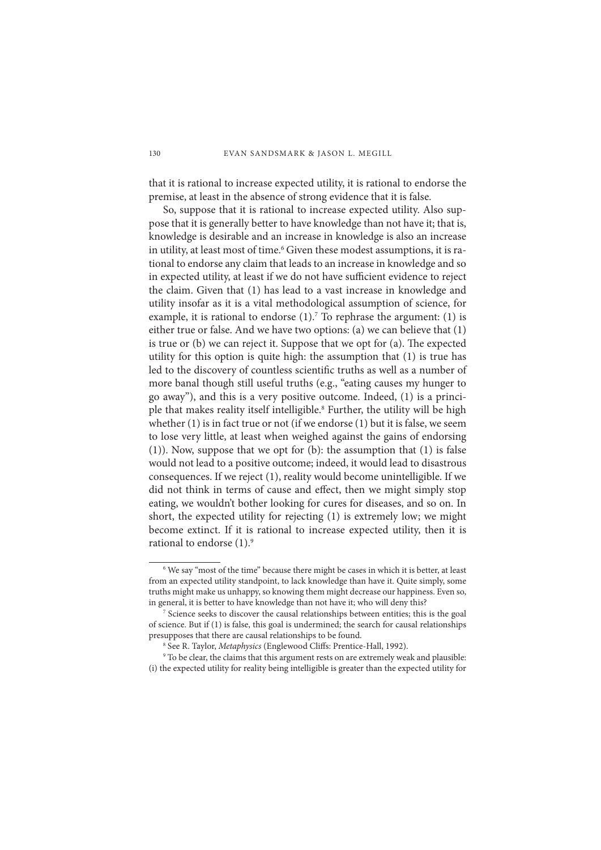that it is rational to increase expected utility, it is rational to endorse the premise, at least in the absence of strong evidence that it is false.

So, suppose that it is rational to increase expected utility. Also suppose that it is generally better to have knowledge than not have it; that is, knowledge is desirable and an increase in knowledge is also an increase in utility, at least most of time.<sup>6</sup> Given these modest assumptions, it is rational to endorse any claim that leads to an increase in knowledge and so in expected utility, at least if we do not have sufficient evidence to reject the claim. Given that (1) has lead to a vast increase in knowledge and utility insofar as it is a vital methodological assumption of science, for example, it is rational to endorse  $(1)$ . To rephrase the argument:  $(1)$  is either true or false. And we have two options: (a) we can believe that (1) is true or  $(b)$  we can reject it. Suppose that we opt for  $(a)$ . The expected utility for this option is quite high: the assumption that (1) is true has led to the discovery of countless scientific truths as well as a number of more banal though still useful truths (e.g., "eating causes my hunger to go away"), and this is a very positive outcome. Indeed, (1) is a principle that makes reality itself intelligible.<sup>8</sup> Further, the utility will be high whether (1) is in fact true or not (if we endorse (1) but it is false, we seem to lose very little, at least when weighed against the gains of endorsing (1)). Now, suppose that we opt for (b): the assumption that (1) is false would not lead to a positive outcome; indeed, it would lead to disastrous consequences. If we reject (1), reality would become unintelligible. If we did not think in terms of cause and effect, then we might simply stop eating, we wouldn't bother looking for cures for diseases, and so on. In short, the expected utility for rejecting (1) is extremely low; we might become extinct. If it is rational to increase expected utility, then it is rational to endorse  $(1)$ .<sup>9</sup>

<sup>&</sup>lt;sup>6</sup> We say "most of the time" because there might be cases in which it is better, at least from an expected utility standpoint, to lack knowledge than have it. Quite simply, some truths might make us unhappy, so knowing them might decrease our happiness. Even so, in general, it is better to have knowledge than not have it; who will deny this? 7

<sup>&</sup>lt;sup>7</sup> Science seeks to discover the causal relationships between entities; this is the goal of science. But if (1) is false, this goal is undermined; the search for causal relationships presupposes that there are causal relationships to be found.

<sup>&</sup>lt;sup>8</sup> See R. Taylor, *Metaphysics* (Englewood Cliffs: Prentice-Hall, 1992).<br><sup>9</sup> To be clear, the claims that this argument rests on are extremely wea

<sup>&</sup>lt;sup>9</sup> To be clear, the claims that this argument rests on are extremely weak and plausible: (i) the expected utility for reality being intelligible is greater than the expected utility for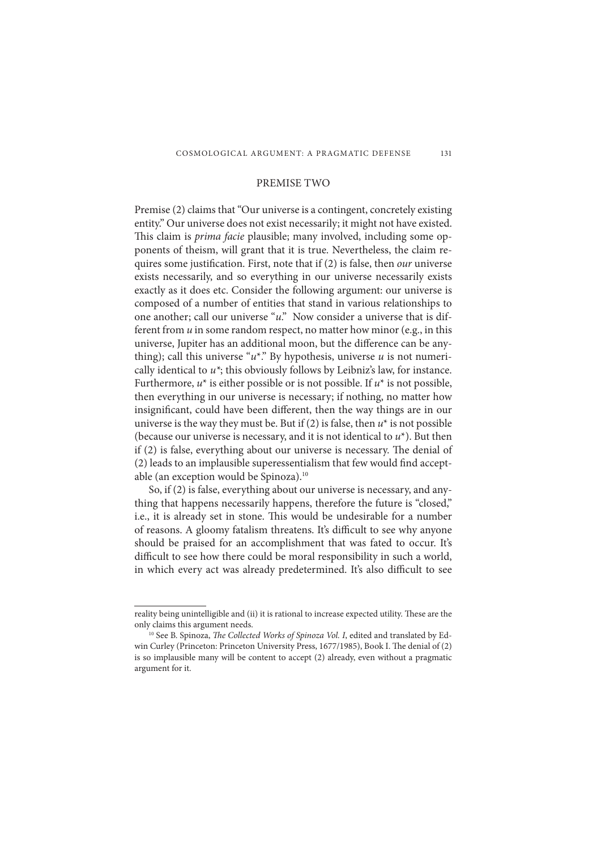## PREMISE TWO

Premise (2) claims that "Our universe is a contingent, concretely existing entity." Our universe does not exist necessarily; it might not have existed. This claim is *prima facie* plausible; many involved, including some opponents of theism, will grant that it is true. Nevertheless, the claim requires some justification. First, note that if (2) is false, then *our* universe exists necessarily, and so everything in our universe necessarily exists exactly as it does etc. Consider the following argument: our universe is composed of a number of entities that stand in various relationships to one another; call our universe "*u*." Now consider a universe that is different from *u* in some random respect, no matter how minor (e.g., in this universe, Jupiter has an additional moon, but the difference can be anything); call this universe " $u^*$ ." By hypothesis, universe  $u$  is not numerically identical to *u\**; this obviously follows by Leibniz's law, for instance. Furthermore,  $u^*$  is either possible or is not possible. If  $u^*$  is not possible, then everything in our universe is necessary; if nothing, no matter how insignificant, could have been different, then the way things are in our universe is the way they must be. But if  $(2)$  is false, then  $u^*$  is not possible (because our universe is necessary, and it is not identical to *u*\*). But then if (2) is false, everything about our universe is necessary. The denial of  $(2)$  leads to an implausible superessentialism that few would find acceptable (an exception would be Spinoza).10

So, if (2) is false, everything about our universe is necessary, and anything that happens necessarily happens, therefore the future is "closed," i.e., it is already set in stone. This would be undesirable for a number of reasons. A gloomy fatalism threatens. It's difficult to see why anyone should be praised for an accomplishment that was fated to occur. It's difficult to see how there could be moral responsibility in such a world, in which every act was already predetermined. It's also difficult to see

reality being unintelligible and (ii) it is rational to increase expected utility. These are the only claims this argument needs.<br><sup>10</sup> See B. Spinoza, *The Collected Works of Spinoza Vol. I*, edited and translated by Ed-

win Curley (Princeton: Princeton University Press, 1677/1985), Book I. The denial of (2) is so implausible many will be content to accept (2) already, even without a pragmatic argument for it.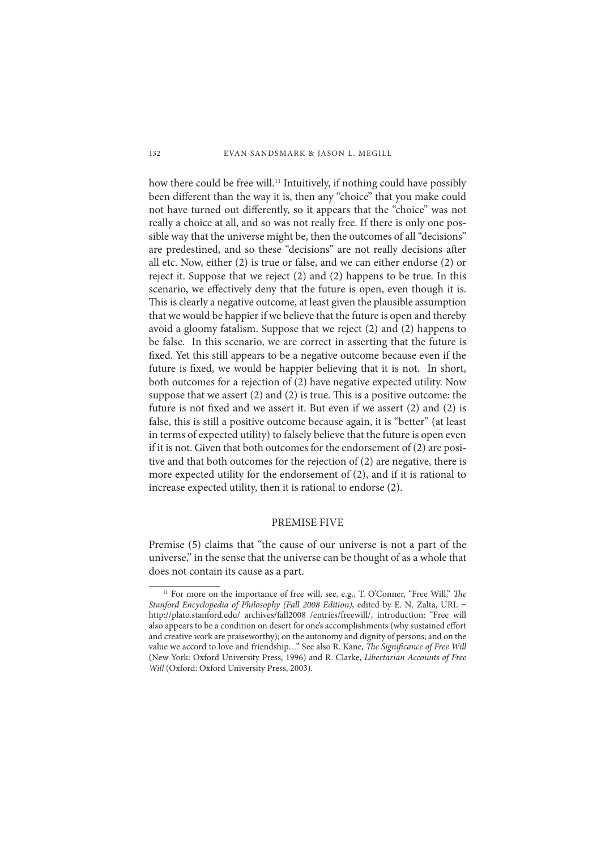how there could be free will.<sup>11</sup> Intuitively, if nothing could have possibly been different than the way it is, then any "choice" that you make could not have turned out differently, so it appears that the "choice" was not really a choice at all, and so was not really free. If there is only one possible way that the universe might be, then the outcomes of all "decisions" are predestined, and so these "decisions" are not really decisions after all etc. Now, either (2) is true or false, and we can either endorse (2) or reject it. Suppose that we reject (2) and (2) happens to be true. In this scenario, we effectively deny that the future is open, even though it is. This is clearly a negative outcome, at least given the plausible assumption that we would be happier if we believe that the future is open and thereby avoid a gloomy fatalism. Suppose that we reject (2) and (2) happens to be false. In this scenario, we are correct in asserting that the future is fixed. Yet this still appears to be a negative outcome because even if the future is fixed, we would be happier believing that it is not. In short, both outcomes for a rejection of (2) have negative expected utility. Now suppose that we assert  $(2)$  and  $(2)$  is true. This is a positive outcome: the future is not fixed and we assert it. But even if we assert  $(2)$  and  $(2)$  is false, this is still a positive outcome because again, it is "better" (at least in terms of expected utility) to falsely believe that the future is open even if it is not. Given that both outcomes for the endorsement of (2) are positive and that both outcomes for the rejection of (2) are negative, there is more expected utility for the endorsement of (2), and if it is rational to increase expected utility, then it is rational to endorse (2).

## PREMISE FIVE

Premise (5) claims that "the cause of our universe is not a part of the universe," in the sense that the universe can be thought of as a whole that does not contain its cause as a part.

<sup>&</sup>lt;sup>11</sup> For more on the importance of free will, see, e.g., T. O'Conner, "Free Will," *The Stanford Encyclopedia of Philosophy (Fall 2008 Edition)*, edited by E. N. Zalta, URL = http://plato.stanford.edu/ archives/fall2008 /entries/freewill/, introduction: "Free will also appears to be a condition on desert for one's accomplishments (why sustained effort and creative work are praiseworthy); on the autonomy and dignity of persons; and on the value we accord to love and friendship..." See also R. Kane, *The Significance of Free Will* (New York: Oxford University Press, 1996) and R. Clarke, *Libertarian Accounts of Free Will* (Oxford: Oxford University Press, 2003).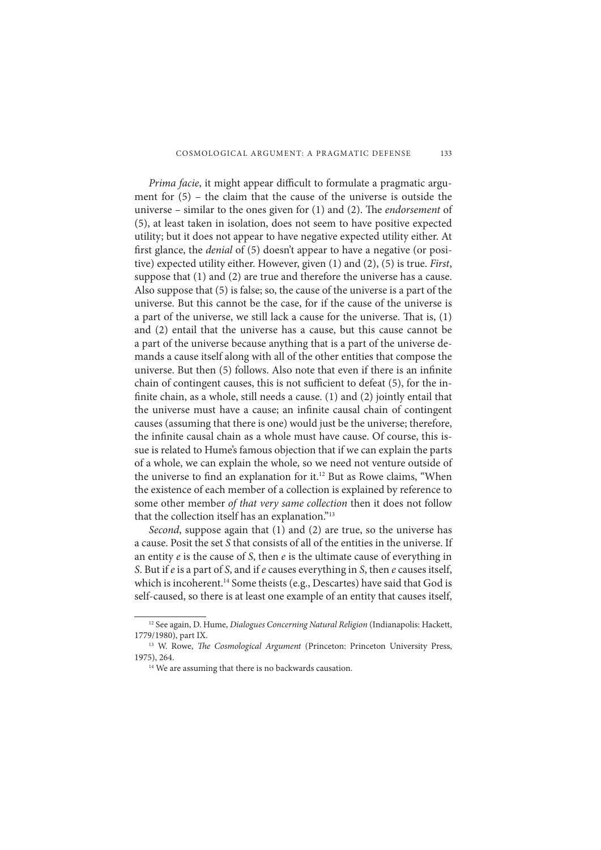*Prima facie*, it might appear difficult to formulate a pragmatic argument for (5) – the claim that the cause of the universe is outside the universe – similar to the ones given for (1) and (2). The *endorsement* of (5), at least taken in isolation, does not seem to have positive expected utility; but it does not appear to have negative expected utility either. At first glance, the *denial* of (5) doesn't appear to have a negative (or positive) expected utility either. However, given (1) and (2), (5) is true. *First*, suppose that (1) and (2) are true and therefore the universe has a cause. Also suppose that (5) is false; so, the cause of the universe is a part of the universe. But this cannot be the case, for if the cause of the universe is a part of the universe, we still lack a cause for the universe. That is,  $(1)$ and (2) entail that the universe has a cause, but this cause cannot be a part of the universe because anything that is a part of the universe demands a cause itself along with all of the other entities that compose the universe. But then (5) follows. Also note that even if there is an infinite chain of contingent causes, this is not sufficient to defeat  $(5)$ , for the infinite chain, as a whole, still needs a cause.  $(1)$  and  $(2)$  jointly entail that the universe must have a cause; an infinite causal chain of contingent causes (assuming that there is one) would just be the universe; therefore, the infinite causal chain as a whole must have cause. Of course, this issue is related to Hume's famous objection that if we can explain the parts of a whole, we can explain the whole, so we need not venture outside of the universe to find an explanation for it.<sup>12</sup> But as Rowe claims, "When the existence of each member of a collection is explained by reference to some other member *of that very same collection* then it does not follow that the collection itself has an explanation."13

*Second*, suppose again that (1) and (2) are true, so the universe has a cause. Posit the set *S* that consists of all of the entities in the universe. If an entity  $e$  is the cause of  $S$ , then  $e$  is the ultimate cause of everything in *S*. But if *e* is a part of *S*, and if *e* causes everything in *S*, then *e* causes itself, which is incoherent.<sup>14</sup> Some theists (e.g., Descartes) have said that God is self-caused, so there is at least one example of an entity that causes itself,

<sup>12</sup> See again, D. Hume, *Dialogues Concerning Natural Religion* (Indianapolis: Hackett, 1779/1980), part IX.

<sup>&</sup>lt;sup>13</sup> W. Rowe, *The Cosmological Argument* (Princeton: Princeton University Press, 1975), 264.

<sup>&</sup>lt;sup>14</sup> We are assuming that there is no backwards causation.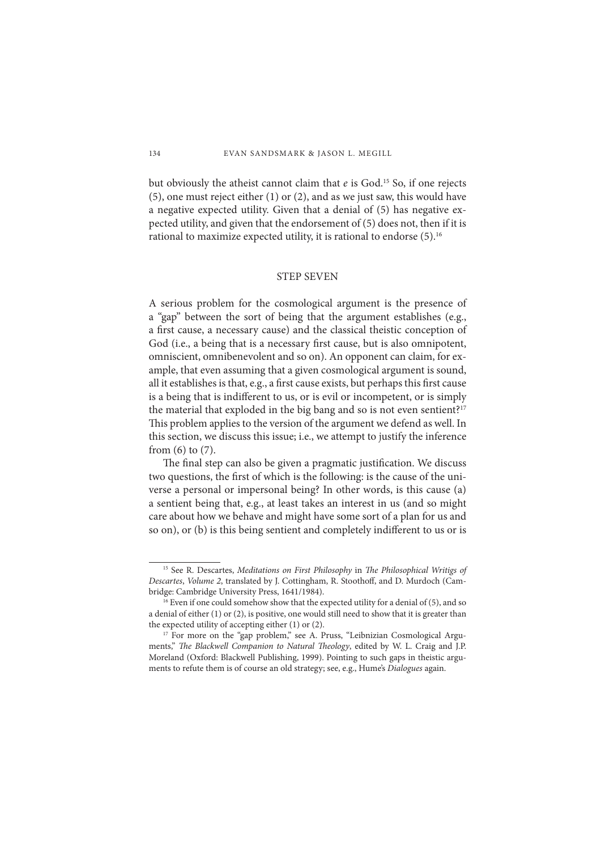but obviously the atheist cannot claim that *e* is God.15 So, if one rejects (5), one must reject either (1) or (2), and as we just saw, this would have a negative expected utility. Given that a denial of (5) has negative expected utility, and given that the endorsement of (5) does not, then if it is rational to maximize expected utility, it is rational to endorse (5).<sup>16</sup>

### STEP SEVEN

A serious problem for the cosmological argument is the presence of a "gap" between the sort of being that the argument establishes (e.g., a first cause, a necessary cause) and the classical theistic conception of God (i.e., a being that is a necessary first cause, but is also omnipotent, omniscient, omnibenevolent and so on). An opponent can claim, for example, that even assuming that a given cosmological argument is sound, all it establishes is that, e.g., a first cause exists, but perhaps this first cause is a being that is indifferent to us, or is evil or incompetent, or is simply the material that exploded in the big bang and so is not even sentient?<sup>17</sup> This problem applies to the version of the argument we defend as well. In this section, we discuss this issue; i.e., we attempt to justify the inference from (6) to (7).

The final step can also be given a pragmatic justification. We discuss two questions, the first of which is the following: is the cause of the universe a personal or impersonal being? In other words, is this cause (a) a sentient being that, e.g., at least takes an interest in us (and so might care about how we behave and might have some sort of a plan for us and so on), or (b) is this being sentient and completely indifferent to us or is

<sup>&</sup>lt;sup>15</sup> See R. Descartes, *Meditations on First Philosophy* in *The Philosophical Writigs of* Descartes, *Volume 2*, translated by J. Cottingham, R. Stoothoff, and D. Murdoch (Cambridge: Cambridge University Press, 1641/1984).

<sup>&</sup>lt;sup>16</sup> Even if one could somehow show that the expected utility for a denial of (5), and so a denial of either (1) or (2), is positive, one would still need to show that it is greater than the expected utility of accepting either (1) or (2).<br><sup>17</sup> For more on the "gap problem," see A. Pruss, "Leibnizian Cosmological Argu-

ments," *The Blackwell Companion to Natural Theology*, edited by W. L. Craig and J.P. Moreland (Oxford: Blackwell Publishing, 1999). Pointing to such gaps in theistic arguments to refute them is of course an old strategy; see, e.g., Hume's *Dialogues* again.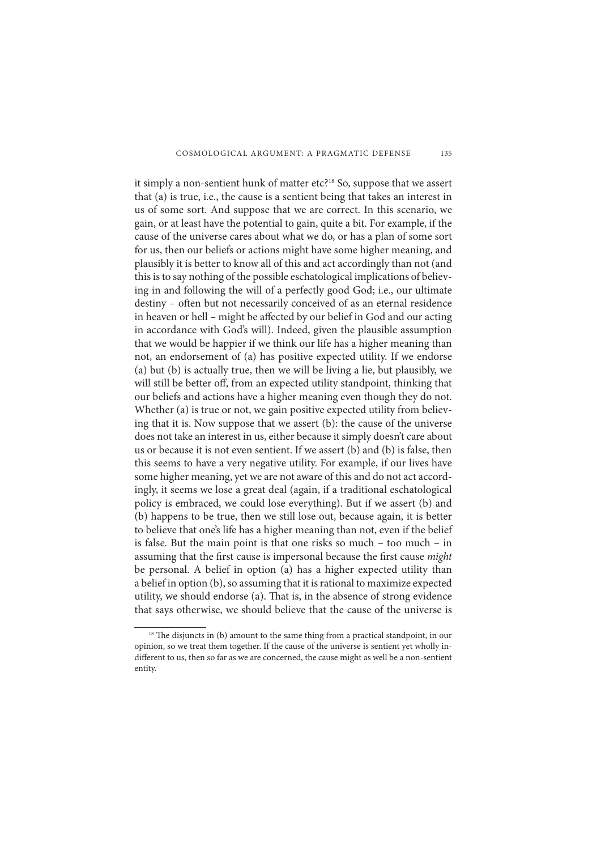it simply a non-sentient hunk of matter etc?<sup>18</sup> So, suppose that we assert that (a) is true, i.e., the cause is a sentient being that takes an interest in us of some sort. And suppose that we are correct. In this scenario, we gain, or at least have the potential to gain, quite a bit. For example, if the cause of the universe cares about what we do, or has a plan of some sort for us, then our beliefs or actions might have some higher meaning, and plausibly it is better to know all of this and act accordingly than not (and this is to say nothing of the possible eschatological implications of believing in and following the will of a perfectly good God; i.e., our ultimate destiny - often but not necessarily conceived of as an eternal residence in heaven or hell - might be affected by our belief in God and our acting in accordance with God's will). Indeed, given the plausible assumption that we would be happier if we think our life has a higher meaning than not, an endorsement of (a) has positive expected utility. If we endorse (a) but (b) is actually true, then we will be living a lie, but plausibly, we will still be better off, from an expected utility standpoint, thinking that our beliefs and actions have a higher meaning even though they do not. Whether (a) is true or not, we gain positive expected utility from believing that it is. Now suppose that we assert (b): the cause of the universe does not take an interest in us, either because it simply doesn't care about us or because it is not even sentient. If we assert (b) and (b) is false, then this seems to have a very negative utility. For example, if our lives have some higher meaning, yet we are not aware of this and do not act accordingly, it seems we lose a great deal (again, if a traditional eschatological policy is embraced, we could lose everything). But if we assert (b) and (b) happens to be true, then we still lose out, because again, it is better to believe that one's life has a higher meaning than not, even if the belief is false. But the main point is that one risks so much – too much – in assuming that the first cause is impersonal because the first cause *might* be personal. A belief in option (a) has a higher expected utility than a belief in option (b), so assuming that it is rational to maximize expected utility, we should endorse (a). That is, in the absence of strong evidence that says otherwise, we should believe that the cause of the universe is

<sup>&</sup>lt;sup>18</sup> The disjuncts in (b) amount to the same thing from a practical standpoint, in our opinion, so we treat them together. If the cause of the universe is sentient yet wholly indifferent to us, then so far as we are concerned, the cause might as well be a non-sentient entity.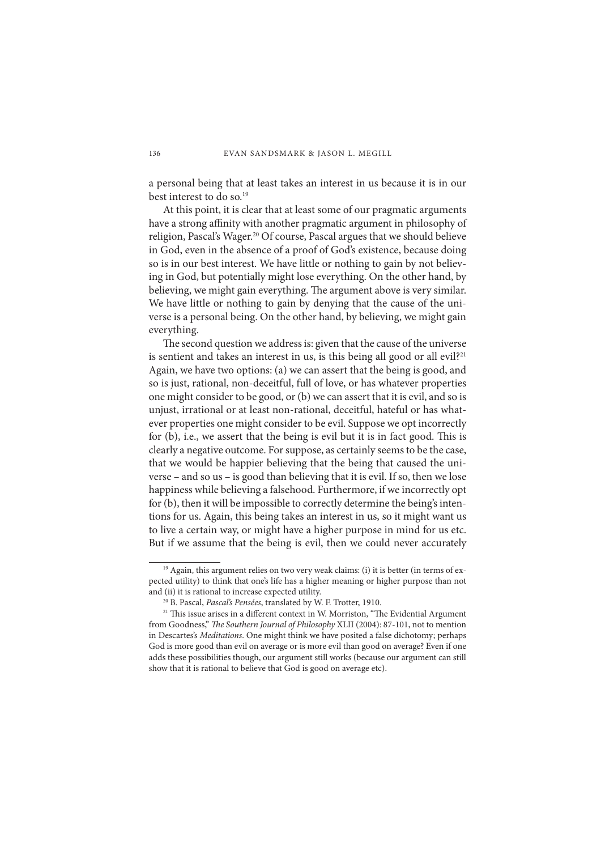a personal being that at least takes an interest in us because it is in our best interest to do so.19

At this point, it is clear that at least some of our pragmatic arguments have a strong affinity with another pragmatic argument in philosophy of religion, Pascal's Wager.<sup>20</sup> Of course, Pascal argues that we should believe in God, even in the absence of a proof of God's existence, because doing so is in our best interest. We have little or nothing to gain by not believing in God, but potentially might lose everything. On the other hand, by believing, we might gain everything. The argument above is very similar. We have little or nothing to gain by denying that the cause of the universe is a personal being. On the other hand, by believing, we might gain everything.

The second question we address is: given that the cause of the universe is sentient and takes an interest in us, is this being all good or all evil?<sup>21</sup> Again, we have two options: (a) we can assert that the being is good, and so is just, rational, non-deceitful, full of love, or has whatever properties one might consider to be good, or (b) we can assert that it is evil, and so is unjust, irrational or at least non-rational, deceitful, hateful or has whatever properties one might consider to be evil. Suppose we opt incorrectly for (b), i.e., we assert that the being is evil but it is in fact good. This is clearly a negative outcome. For suppose, as certainly seems to be the case, that we would be happier believing that the being that caused the universe – and so us – is good than believing that it is evil. If so, then we lose happiness while believing a falsehood. Furthermore, if we incorrectly opt for (b), then it will be impossible to correctly determine the being's intentions for us. Again, this being takes an interest in us, so it might want us to live a certain way, or might have a higher purpose in mind for us etc. But if we assume that the being is evil, then we could never accurately

<sup>&</sup>lt;sup>19</sup> Again, this argument relies on two very weak claims: (i) it is better (in terms of expected utility) to think that one's life has a higher meaning or higher purpose than not and (ii) it is rational to increase expected utility. 20 B. Pascal, *Pascal's Pensées*, translated by W. F. Trotter, 1910.

 $21$  This issue arises in a different context in W. Morriston, "The Evidential Argument from Goodness," *The Southern Journal of Philosophy XLII* (2004): 87-101, not to mention in Descartes's *Meditations*. One might think we have posited a false dichotomy; perhaps God is more good than evil on average or is more evil than good on average? Even if one adds these possibilities though, our argument still works (because our argument can still show that it is rational to believe that God is good on average etc).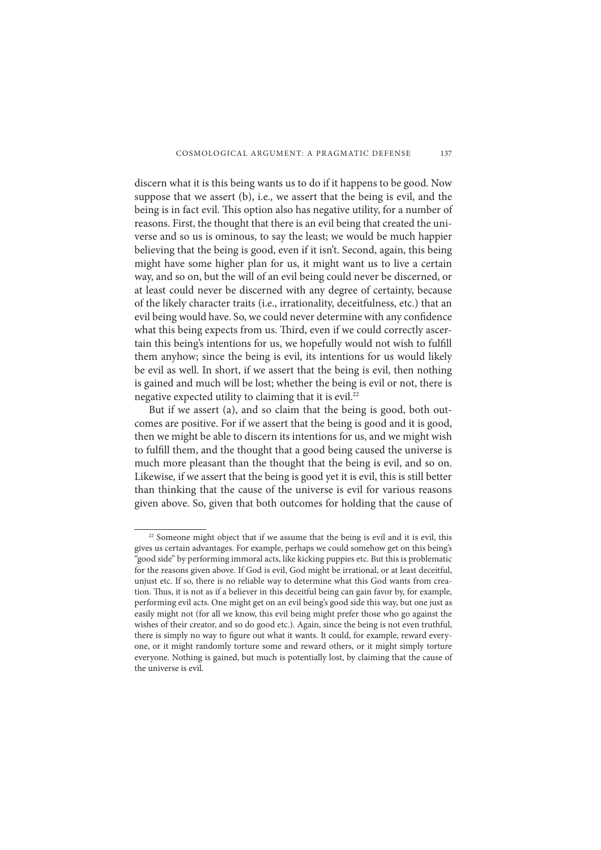discern what it is this being wants us to do if it happens to be good. Now suppose that we assert (b), i.e., we assert that the being is evil, and the being is in fact evil. This option also has negative utility, for a number of reasons. First, the thought that there is an evil being that created the universe and so us is ominous, to say the least; we would be much happier believing that the being is good, even if it isn't. Second, again, this being might have some higher plan for us, it might want us to live a certain way, and so on, but the will of an evil being could never be discerned, or at least could never be discerned with any degree of certainty, because of the likely character traits (i.e., irrationality, deceitfulness, etc.) that an evil being would have. So, we could never determine with any confidence what this being expects from us. Third, even if we could correctly ascertain this being's intentions for us, we hopefully would not wish to fulfill them anyhow; since the being is evil, its intentions for us would likely be evil as well. In short, if we assert that the being is evil, then nothing is gained and much will be lost; whether the being is evil or not, there is negative expected utility to claiming that it is evil.<sup>22</sup>

But if we assert (a), and so claim that the being is good, both outcomes are positive. For if we assert that the being is good and it is good, then we might be able to discern its intentions for us, and we might wish to fulfill them, and the thought that a good being caused the universe is much more pleasant than the thought that the being is evil, and so on. Likewise, if we assert that the being is good yet it is evil, this is still better than thinking that the cause of the universe is evil for various reasons given above. So, given that both outcomes for holding that the cause of

<sup>&</sup>lt;sup>22</sup> Someone might object that if we assume that the being is evil and it is evil, this gives us certain advantages. For example, perhaps we could somehow get on this being's "good side" by performing immoral acts, like kicking puppies etc. But this is problematic for the reasons given above. If God is evil, God might be irrational, or at least deceitful, unjust etc. If so, there is no reliable way to determine what this God wants from creation. Thus, it is not as if a believer in this deceitful being can gain favor by, for example, performing evil acts. One might get on an evil being's good side this way, but one just as easily might not (for all we know, this evil being might prefer those who go against the wishes of their creator, and so do good etc.). Again, since the being is not even truthful, there is simply no way to figure out what it wants. It could, for example, reward everyone, or it might randomly torture some and reward others, or it might simply torture everyone. Nothing is gained, but much is potentially lost, by claiming that the cause of the universe is evil.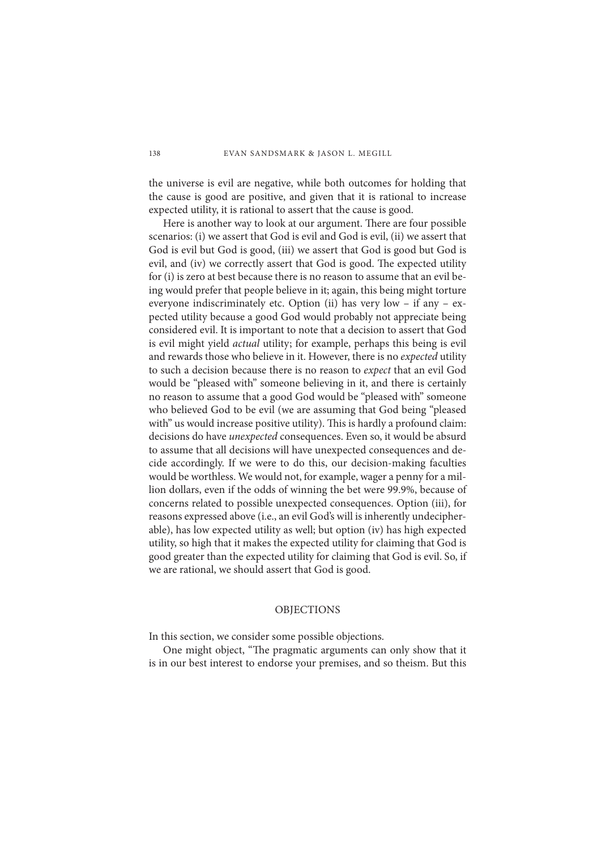the universe is evil are negative, while both outcomes for holding that the cause is good are positive, and given that it is rational to increase expected utility, it is rational to assert that the cause is good.

Here is another way to look at our argument. There are four possible scenarios: (i) we assert that God is evil and God is evil, (ii) we assert that God is evil but God is good, (iii) we assert that God is good but God is evil, and (iv) we correctly assert that God is good. The expected utility for (i) is zero at best because there is no reason to assume that an evil being would prefer that people believe in it; again, this being might torture everyone indiscriminately etc. Option (ii) has very low – if any – expected utility because a good God would probably not appreciate being considered evil. It is important to note that a decision to assert that God is evil might yield *actual* utility; for example, perhaps this being is evil and rewards those who believe in it. However, there is no *expected* utility to such a decision because there is no reason to *expect* that an evil God would be "pleased with" someone believing in it, and there is certainly no reason to assume that a good God would be "pleased with" someone who believed God to be evil (we are assuming that God being "pleased with" us would increase positive utility). This is hardly a profound claim: decisions do have *unexpected* consequences. Even so, it would be absurd to assume that all decisions will have unexpected consequences and decide accordingly. If we were to do this, our decision-making faculties would be worthless. We would not, for example, wager a penny for a million dollars, even if the odds of winning the bet were 99.9%, because of concerns related to possible unexpected consequences. Option (iii), for reasons expressed above (i.e., an evil God's will is inherently undecipherable), has low expected utility as well; but option (iv) has high expected utility, so high that it makes the expected utility for claiming that God is good greater than the expected utility for claiming that God is evil. So, if we are rational, we should assert that God is good.

## OBJECTIONS

In this section, we consider some possible objections.

One might object, "The pragmatic arguments can only show that it is in our best interest to endorse your premises, and so theism. But this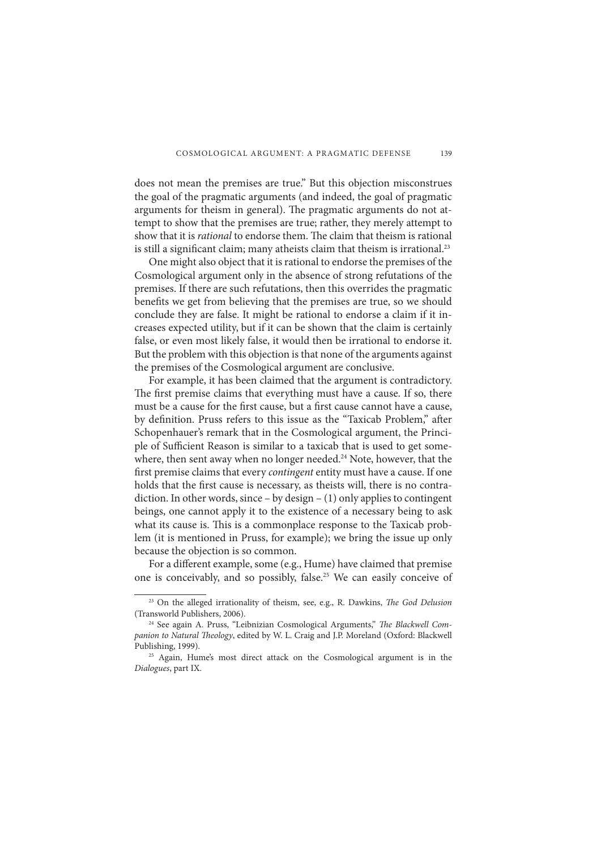does not mean the premises are true." But this objection misconstrues the goal of the pragmatic arguments (and indeed, the goal of pragmatic arguments for theism in general). The pragmatic arguments do not attempt to show that the premises are true; rather, they merely attempt to show that it is *rational* to endorse them. The claim that theism is rational is still a significant claim; many atheists claim that theism is irrational.<sup>23</sup>

One might also object that it is rational to endorse the premises of the Cosmological argument only in the absence of strong refutations of the premises. If there are such refutations, then this overrides the pragmatic benefits we get from believing that the premises are true, so we should conclude they are false. It might be rational to endorse a claim if it increases expected utility, but if it can be shown that the claim is certainly false, or even most likely false, it would then be irrational to endorse it. But the problem with this objection is that none of the arguments against the premises of the Cosmological argument are conclusive.

For example, it has been claimed that the argument is contradictory. The first premise claims that everything must have a cause. If so, there must be a cause for the first cause, but a first cause cannot have a cause, by definition. Pruss refers to this issue as the "Taxicab Problem," after Schopenhauer's remark that in the Cosmological argument, the Principle of Sufficient Reason is similar to a taxicab that is used to get somewhere, then sent away when no longer needed.<sup>24</sup> Note, however, that the first premise claims that every *contingent* entity must have a cause. If one holds that the first cause is necessary, as theists will, there is no contradiction. In other words, since – by design – (1) only applies to contingent beings, one cannot apply it to the existence of a necessary being to ask what its cause is. This is a commonplace response to the Taxicab problem (it is mentioned in Pruss, for example); we bring the issue up only because the objection is so common.

For a different example, some (e.g., Hume) have claimed that premise one is conceivably, and so possibly, false.<sup>25</sup> We can easily conceive of

<sup>&</sup>lt;sup>23</sup> On the alleged irrationality of theism, see, e.g., R. Dawkins, *The God Delusion* (Transworld Publishers, 2006).

<sup>&</sup>lt;sup>24</sup> See again A. Pruss, "Leibnizian Cosmological Arguments," *The Blackwell Com*panion to Natural Theology, edited by W. L. Craig and J.P. Moreland (Oxford: Blackwell Publishing, 1999).

<sup>&</sup>lt;sup>25</sup> Again, Hume's most direct attack on the Cosmological argument is in the *Dialogues*, part IX.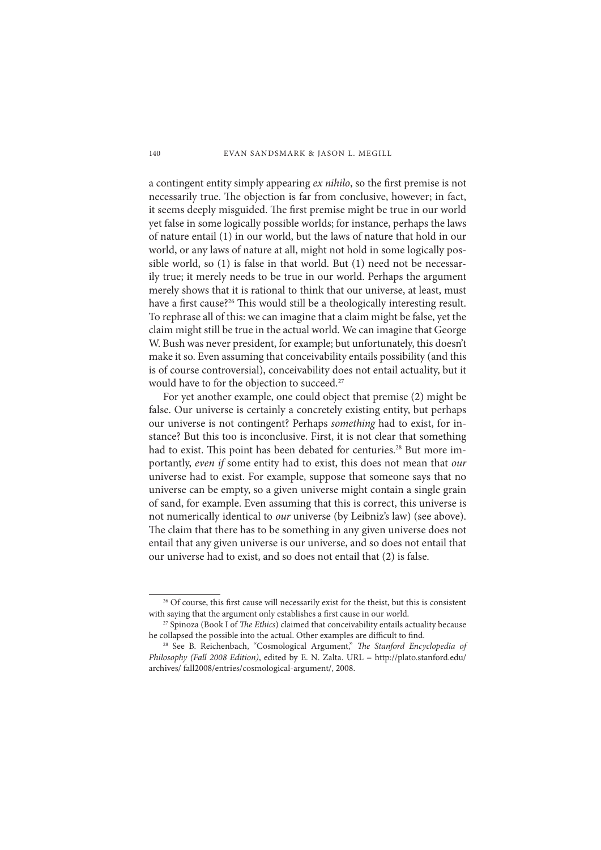a contingent entity simply appearing *ex nihilo*, so the first premise is not necessarily true. The objection is far from conclusive, however; in fact, it seems deeply misguided. The first premise might be true in our world yet false in some logically possible worlds; for instance, perhaps the laws of nature entail (1) in our world, but the laws of nature that hold in our world, or any laws of nature at all, might not hold in some logically possible world, so (1) is false in that world. But (1) need not be necessarily true; it merely needs to be true in our world. Perhaps the argument merely shows that it is rational to think that our universe, at least, must have a first cause?<sup>26</sup> This would still be a theologically interesting result. To rephrase all of this: we can imagine that a claim might be false, yet the claim might still be true in the actual world. We can imagine that George W. Bush was never president, for example; but unfortunately, this doesn't make it so. Even assuming that conceivability entails possibility (and this is of course controversial), conceivability does not entail actuality, but it would have to for the objection to succeed.27

For yet another example, one could object that premise (2) might be false. Our universe is certainly a concretely existing entity, but perhaps our universe is not contingent? Perhaps *something* had to exist, for instance? But this too is inconclusive. First, it is not clear that something had to exist. This point has been debated for centuries.<sup>28</sup> But more importantly, *even if* some entity had to exist, this does not mean that *our* universe had to exist. For example, suppose that someone says that no universe can be empty, so a given universe might contain a single grain of sand, for example. Even assuming that this is correct, this universe is not numerically identical to *our* universe (by Leibniz's law) (see above). The claim that there has to be something in any given universe does not entail that any given universe is our universe, and so does not entail that our universe had to exist, and so does not entail that (2) is false.

<sup>&</sup>lt;sup>26</sup> Of course, this first cause will necessarily exist for the theist, but this is consistent with saying that the argument only establishes a first cause in our world. <sup>27</sup> Spinoza (Book I of *The Ethics*) claimed that conceivability entails actuality because

he collapsed the possible into the actual. Other examples are difficult to find.

<sup>&</sup>lt;sup>28</sup> See B. Reichenbach, "Cosmological Argument," *The Stanford Encyclopedia of Philosophy (Fall 2008 Edition)*, edited by E. N. Zalta. URL = http://plato.stanford.edu/ archives/ fall2008/entries/cosmological-argument/, 2008.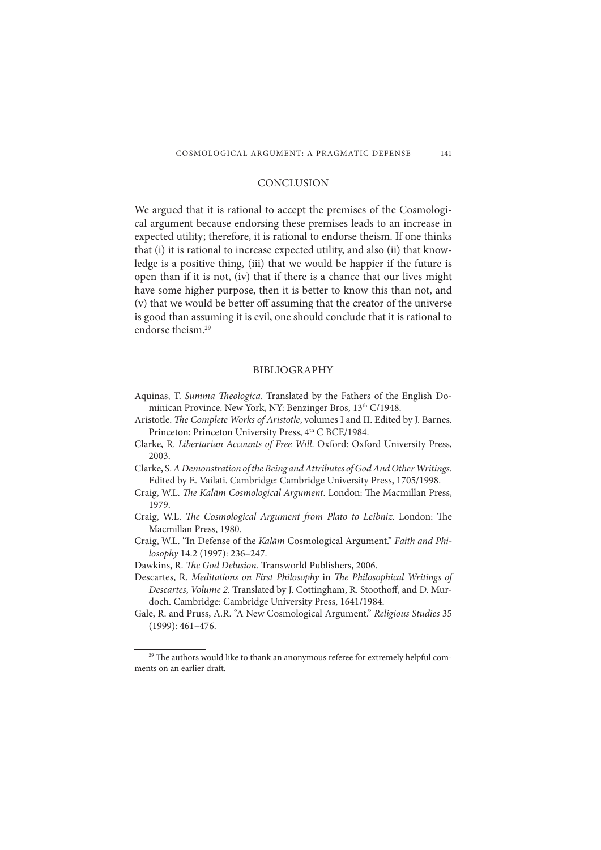# **CONCLUSION**

We argued that it is rational to accept the premises of the Cosmological argument because endorsing these premises leads to an increase in expected utility; therefore, it is rational to endorse theism. If one thinks that (i) it is rational to increase expected utility, and also (ii) that knowledge is a positive thing, (iii) that we would be happier if the future is open than if it is not, (iv) that if there is a chance that our lives might have some higher purpose, then it is better to know this than not, and (v) that we would be better off assuming that the creator of the universe is good than assuming it is evil, one should conclude that it is rational to endorse theism.29

## BIBLIOGRAPHY

- Aquinas, T. *Summa Theologica*. Translated by the Fathers of the English Dominican Province. New York, NY: Benzinger Bros, 13th C/1948.
- Aristotle. *The Complete Works of Aristotle*, volumes I and II. Edited by J. Barnes. Princeton: Princeton University Press, 4<sup>th</sup> C BCE/1984.
- Clarke, R. *Libertarian Accounts of Free Will*. Oxford: Oxford University Press, 2003.
- Clarke, S. *A Demonstration of the Being and Attributes of God And Other Writings*. Edited by E. Vailati. Cambridge: Cambridge University Press, 1705/1998.
- Craig, W.L. *The Kalām Cosmological Argument*. London: The Macmillan Press, 1979.
- Craig, W.L. *The Cosmological Argument from Plato to Leibniz*. London: The Macmillan Press, 1980.
- Craig, W.L. "In Defense of the *Kalām* Cosmological Argument." *Faith and Philosophy* 14.2 (1997): 236–247.
- Dawkins, R. *The God Delusion*. Transworld Publishers, 2006.
- Descartes, R. *Meditations on First Philosophy* in *The Philosophical Writings of Descartes, Volume 2.* Translated by J. Cottingham, R. Stoothoff, and D. Murdoch. Cambridge: Cambridge University Press, 1641/1984.

Gale, R. and Pruss, A.R. "A New Cosmological Argument." *Religious Studies* 35 (1999): 461–476.

<sup>&</sup>lt;sup>29</sup> The authors would like to thank an anonymous referee for extremely helpful comments on an earlier draft.